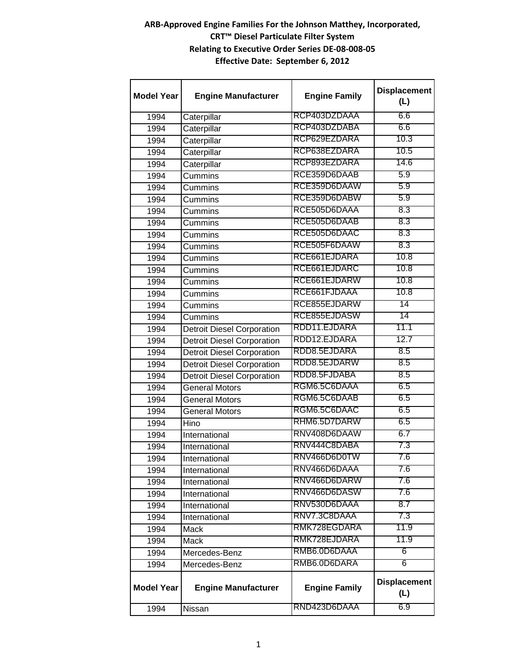## **ARB-Approved Engine Families For the Johnson Matthey, Incorporated, CRT™ Diesel Particulate Filter System Relating to Executive Order Series DE-08-008-05 Effective Date: September 6, 2012**

| <b>Model Year</b> | <b>Engine Manufacturer</b>        | <b>Engine Family</b> | <b>Displacement</b><br>(L) |
|-------------------|-----------------------------------|----------------------|----------------------------|
| 1994              | Caterpillar                       | RCP403DZDAAA         | 6.6                        |
| 1994              | Caterpillar                       | RCP403DZDABA         | 6.6                        |
| 1994              | Caterpillar                       | RCP629EZDARA         | 10.3                       |
| 1994              | Caterpillar                       | RCP638EZDARA         | 10.5                       |
| 1994              | Caterpillar                       | RCP893EZDARA         | 14.6                       |
| 1994              | <b>Cummins</b>                    | RCE359D6DAAB         | 5.9                        |
| 1994              | <b>Cummins</b>                    | RCE359D6DAAW         | 5.9                        |
| 1994              | Cummins                           | RCE359D6DABW         | 5.9                        |
| 1994              | <b>Cummins</b>                    | RCE505D6DAAA         | 8.3                        |
| 1994              | Cummins                           | RCE505D6DAAB         | 8.3                        |
| 1994              | Cummins                           | RCE505D6DAAC         | 8.3                        |
| 1994              | <b>Cummins</b>                    | RCE505F6DAAW         | 8.3                        |
| 1994              | <b>Cummins</b>                    | RCE661EJDARA         | 10.8                       |
| 1994              | Cummins                           | RCE661EJDARC         | 10.8                       |
| 1994              | <b>Cummins</b>                    | RCE661EJDARW         | 10.8                       |
| 1994              | Cummins                           | RCE661FJDAAA         | 10.8                       |
| 1994              | Cummins                           | RCE855EJDARW         | 14                         |
| 1994              | <b>Cummins</b>                    | RCE855EJDASW         | 14                         |
| 1994              | <b>Detroit Diesel Corporation</b> | RDD11.EJDARA         | 11.1                       |
| 1994              | <b>Detroit Diesel Corporation</b> | RDD12.EJDARA         | 12.7                       |
| 1994              | <b>Detroit Diesel Corporation</b> | RDD8.5EJDARA         | 8.5                        |
| 1994              | <b>Detroit Diesel Corporation</b> | RDD8.5EJDARW         | 8.5                        |
| 1994              | <b>Detroit Diesel Corporation</b> | RDD8.5FJDABA         | 8.5                        |
| 1994              | <b>General Motors</b>             | RGM6.5C6DAAA         | 6.5                        |
| 1994              | <b>General Motors</b>             | RGM6.5C6DAAB         | 6.5                        |
| 1994              | <b>General Motors</b>             | RGM6.5C6DAAC         | 6.5                        |
| 1994              | Hino                              | RHM6.5D7DARW         | 6.5                        |
| 1994              | International                     | RNV408D6DAAW         | 6.7                        |
| 1994              | International                     | RNV444C8DABA         | 7.3                        |
| 1994              | International                     | RNV466D6D0TW         | 7.6                        |
| 1994              | International                     | RNV466D6DAAA         | 7.6                        |
| 1994              | International                     | RNV466D6DARW         | 7.6                        |
| 1994              | International                     | RNV466D6DASW         | 7.6                        |
| 1994              | International                     | RNV530D6DAAA         | 8.7                        |
| 1994              | International                     | RNV7.3C8DAAA         | 7.3                        |
| 1994              | Mack                              | RMK728EGDARA         | 11.9                       |
| 1994              | Mack                              | RMK728EJDARA         | 11.9                       |
| 1994              | Mercedes-Benz                     | RMB6.0D6DAAA         | 6                          |
| 1994              | Mercedes-Benz                     | RMB6.0D6DARA         | 6                          |
| <b>Model Year</b> | <b>Engine Manufacturer</b>        | <b>Engine Family</b> | <b>Displacement</b><br>(L) |
| 1994              | Nissan                            | RND423D6DAAA         | 6.9                        |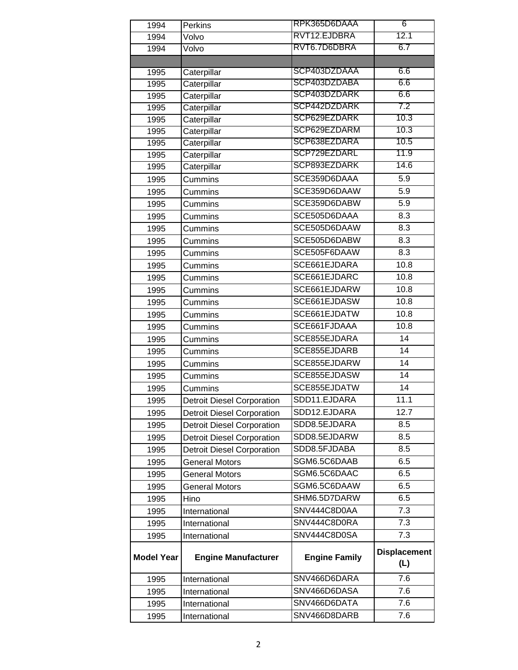| RVT12.EJDBRA<br>12.1<br>1994<br>Volvo<br>RVT6.7D6DBRA<br>6.7<br>1994<br>Volvo<br>SCP403DZDAAA<br>6.6<br>Caterpillar<br>1995<br>SCP403DZDABA<br>6.6<br>Caterpillar<br>1995<br>SCP403DZDARK<br>6.6<br>1995<br>Caterpillar<br>SCP442DZDARK<br>7.2<br>Caterpillar<br>1995<br>SCP629EZDARK<br>10.3<br>Caterpillar<br>1995<br>10.3<br>SCP629EZDARM<br>Caterpillar<br>1995<br>10.5<br>SCP638EZDARA<br>Caterpillar<br>1995<br>SCP729EZDARL<br>11.9<br>1995<br>Caterpillar<br>SCP893EZDARK<br>14.6<br>Caterpillar<br>1995<br>SCE359D6DAAA<br>5.9<br>1995<br>Cummins<br>SCE359D6DAAW<br>5.9<br>1995<br>Cummins<br>SCE359D6DABW<br>5.9<br>1995<br>Cummins<br>SCE505D6DAAA<br>8.3<br>1995<br>Cummins<br>SCE505D6DAAW<br>8.3<br>1995<br>Cummins<br>SCE505D6DABW<br>8.3<br>1995<br>Cummins<br>SCE505F6DAAW<br>8.3<br>1995<br>Cummins<br>10.8<br>SCE661EJDARA<br>1995<br>Cummins<br>SCE661EJDARC<br>10.8<br>1995<br>Cummins<br>SCE661EJDARW<br>10.8<br>Cummins<br>1995<br>SCE661EJDASW<br>10.8<br>1995<br>Cummins<br>10.8<br>SCE661EJDATW<br>1995<br>Cummins<br>SCE661FJDAAA<br>10.8<br>1995<br>Cummins<br>SCE855EJDARA<br>14<br>1995<br>Cummins<br>SCE855EJDARB<br>14<br>1995<br>Cummins<br>SCE855EJDARW<br>14<br>1995<br>Cummins<br>SCE855EJDASW<br>14<br>1995<br>Cummins<br>SCE855EJDATW<br>14<br>1995<br>Cummins<br>11.1<br>SDD11.EJDARA<br>1995<br><b>Detroit Diesel Corporation</b><br>SDD12.EJDARA<br>12.7<br>1995<br><b>Detroit Diesel Corporation</b><br>SDD8.5EJDARA<br>8.5<br><b>Detroit Diesel Corporation</b><br>1995<br>SDD8.5EJDARW<br>8.5<br><b>Detroit Diesel Corporation</b><br>1995<br>8.5<br>SDD8.5FJDABA<br>1995<br><b>Detroit Diesel Corporation</b><br>6.5<br>SGM6.5C6DAAB<br>1995<br><b>General Motors</b><br>SGM6.5C6DAAC<br>6.5<br>1995<br><b>General Motors</b><br>SGM6.5C6DAAW<br>6.5<br>1995<br><b>General Motors</b><br>SHM6.5D7DARW<br>6.5<br>1995<br>Hino<br>SNV444C8D0AA<br>7.3<br>1995<br>International<br>SNV444C8D0RA<br>7.3<br>1995<br>International<br>SNV444C8D0SA<br>7.3<br>International<br>1995<br><b>Displacement</b><br><b>Engine Family</b><br><b>Engine Manufacturer</b><br><b>Model Year</b><br>(L)<br>SNV466D6DARA<br>7.6<br>1995<br>International<br>SNV466D6DASA<br>7.6<br>International<br>1995<br>7.6<br>SNV466D6DATA<br>1995<br>International<br>SNV466D8DARB<br>7.6<br>1995<br>International | 1994 | Perkins | RPK365D6DAAA | 6 |
|-------------------------------------------------------------------------------------------------------------------------------------------------------------------------------------------------------------------------------------------------------------------------------------------------------------------------------------------------------------------------------------------------------------------------------------------------------------------------------------------------------------------------------------------------------------------------------------------------------------------------------------------------------------------------------------------------------------------------------------------------------------------------------------------------------------------------------------------------------------------------------------------------------------------------------------------------------------------------------------------------------------------------------------------------------------------------------------------------------------------------------------------------------------------------------------------------------------------------------------------------------------------------------------------------------------------------------------------------------------------------------------------------------------------------------------------------------------------------------------------------------------------------------------------------------------------------------------------------------------------------------------------------------------------------------------------------------------------------------------------------------------------------------------------------------------------------------------------------------------------------------------------------------------------------------------------------------------------------------------------------------------------------------------------------------------------------------------------------------------------------------------------------------------------------------------------------------------------------------------------------------------------------------------------------------------------------------------|------|---------|--------------|---|
|                                                                                                                                                                                                                                                                                                                                                                                                                                                                                                                                                                                                                                                                                                                                                                                                                                                                                                                                                                                                                                                                                                                                                                                                                                                                                                                                                                                                                                                                                                                                                                                                                                                                                                                                                                                                                                                                                                                                                                                                                                                                                                                                                                                                                                                                                                                                     |      |         |              |   |
|                                                                                                                                                                                                                                                                                                                                                                                                                                                                                                                                                                                                                                                                                                                                                                                                                                                                                                                                                                                                                                                                                                                                                                                                                                                                                                                                                                                                                                                                                                                                                                                                                                                                                                                                                                                                                                                                                                                                                                                                                                                                                                                                                                                                                                                                                                                                     |      |         |              |   |
|                                                                                                                                                                                                                                                                                                                                                                                                                                                                                                                                                                                                                                                                                                                                                                                                                                                                                                                                                                                                                                                                                                                                                                                                                                                                                                                                                                                                                                                                                                                                                                                                                                                                                                                                                                                                                                                                                                                                                                                                                                                                                                                                                                                                                                                                                                                                     |      |         |              |   |
|                                                                                                                                                                                                                                                                                                                                                                                                                                                                                                                                                                                                                                                                                                                                                                                                                                                                                                                                                                                                                                                                                                                                                                                                                                                                                                                                                                                                                                                                                                                                                                                                                                                                                                                                                                                                                                                                                                                                                                                                                                                                                                                                                                                                                                                                                                                                     |      |         |              |   |
|                                                                                                                                                                                                                                                                                                                                                                                                                                                                                                                                                                                                                                                                                                                                                                                                                                                                                                                                                                                                                                                                                                                                                                                                                                                                                                                                                                                                                                                                                                                                                                                                                                                                                                                                                                                                                                                                                                                                                                                                                                                                                                                                                                                                                                                                                                                                     |      |         |              |   |
|                                                                                                                                                                                                                                                                                                                                                                                                                                                                                                                                                                                                                                                                                                                                                                                                                                                                                                                                                                                                                                                                                                                                                                                                                                                                                                                                                                                                                                                                                                                                                                                                                                                                                                                                                                                                                                                                                                                                                                                                                                                                                                                                                                                                                                                                                                                                     |      |         |              |   |
|                                                                                                                                                                                                                                                                                                                                                                                                                                                                                                                                                                                                                                                                                                                                                                                                                                                                                                                                                                                                                                                                                                                                                                                                                                                                                                                                                                                                                                                                                                                                                                                                                                                                                                                                                                                                                                                                                                                                                                                                                                                                                                                                                                                                                                                                                                                                     |      |         |              |   |
|                                                                                                                                                                                                                                                                                                                                                                                                                                                                                                                                                                                                                                                                                                                                                                                                                                                                                                                                                                                                                                                                                                                                                                                                                                                                                                                                                                                                                                                                                                                                                                                                                                                                                                                                                                                                                                                                                                                                                                                                                                                                                                                                                                                                                                                                                                                                     |      |         |              |   |
|                                                                                                                                                                                                                                                                                                                                                                                                                                                                                                                                                                                                                                                                                                                                                                                                                                                                                                                                                                                                                                                                                                                                                                                                                                                                                                                                                                                                                                                                                                                                                                                                                                                                                                                                                                                                                                                                                                                                                                                                                                                                                                                                                                                                                                                                                                                                     |      |         |              |   |
|                                                                                                                                                                                                                                                                                                                                                                                                                                                                                                                                                                                                                                                                                                                                                                                                                                                                                                                                                                                                                                                                                                                                                                                                                                                                                                                                                                                                                                                                                                                                                                                                                                                                                                                                                                                                                                                                                                                                                                                                                                                                                                                                                                                                                                                                                                                                     |      |         |              |   |
|                                                                                                                                                                                                                                                                                                                                                                                                                                                                                                                                                                                                                                                                                                                                                                                                                                                                                                                                                                                                                                                                                                                                                                                                                                                                                                                                                                                                                                                                                                                                                                                                                                                                                                                                                                                                                                                                                                                                                                                                                                                                                                                                                                                                                                                                                                                                     |      |         |              |   |
|                                                                                                                                                                                                                                                                                                                                                                                                                                                                                                                                                                                                                                                                                                                                                                                                                                                                                                                                                                                                                                                                                                                                                                                                                                                                                                                                                                                                                                                                                                                                                                                                                                                                                                                                                                                                                                                                                                                                                                                                                                                                                                                                                                                                                                                                                                                                     |      |         |              |   |
|                                                                                                                                                                                                                                                                                                                                                                                                                                                                                                                                                                                                                                                                                                                                                                                                                                                                                                                                                                                                                                                                                                                                                                                                                                                                                                                                                                                                                                                                                                                                                                                                                                                                                                                                                                                                                                                                                                                                                                                                                                                                                                                                                                                                                                                                                                                                     |      |         |              |   |
|                                                                                                                                                                                                                                                                                                                                                                                                                                                                                                                                                                                                                                                                                                                                                                                                                                                                                                                                                                                                                                                                                                                                                                                                                                                                                                                                                                                                                                                                                                                                                                                                                                                                                                                                                                                                                                                                                                                                                                                                                                                                                                                                                                                                                                                                                                                                     |      |         |              |   |
|                                                                                                                                                                                                                                                                                                                                                                                                                                                                                                                                                                                                                                                                                                                                                                                                                                                                                                                                                                                                                                                                                                                                                                                                                                                                                                                                                                                                                                                                                                                                                                                                                                                                                                                                                                                                                                                                                                                                                                                                                                                                                                                                                                                                                                                                                                                                     |      |         |              |   |
|                                                                                                                                                                                                                                                                                                                                                                                                                                                                                                                                                                                                                                                                                                                                                                                                                                                                                                                                                                                                                                                                                                                                                                                                                                                                                                                                                                                                                                                                                                                                                                                                                                                                                                                                                                                                                                                                                                                                                                                                                                                                                                                                                                                                                                                                                                                                     |      |         |              |   |
|                                                                                                                                                                                                                                                                                                                                                                                                                                                                                                                                                                                                                                                                                                                                                                                                                                                                                                                                                                                                                                                                                                                                                                                                                                                                                                                                                                                                                                                                                                                                                                                                                                                                                                                                                                                                                                                                                                                                                                                                                                                                                                                                                                                                                                                                                                                                     |      |         |              |   |
|                                                                                                                                                                                                                                                                                                                                                                                                                                                                                                                                                                                                                                                                                                                                                                                                                                                                                                                                                                                                                                                                                                                                                                                                                                                                                                                                                                                                                                                                                                                                                                                                                                                                                                                                                                                                                                                                                                                                                                                                                                                                                                                                                                                                                                                                                                                                     |      |         |              |   |
|                                                                                                                                                                                                                                                                                                                                                                                                                                                                                                                                                                                                                                                                                                                                                                                                                                                                                                                                                                                                                                                                                                                                                                                                                                                                                                                                                                                                                                                                                                                                                                                                                                                                                                                                                                                                                                                                                                                                                                                                                                                                                                                                                                                                                                                                                                                                     |      |         |              |   |
|                                                                                                                                                                                                                                                                                                                                                                                                                                                                                                                                                                                                                                                                                                                                                                                                                                                                                                                                                                                                                                                                                                                                                                                                                                                                                                                                                                                                                                                                                                                                                                                                                                                                                                                                                                                                                                                                                                                                                                                                                                                                                                                                                                                                                                                                                                                                     |      |         |              |   |
|                                                                                                                                                                                                                                                                                                                                                                                                                                                                                                                                                                                                                                                                                                                                                                                                                                                                                                                                                                                                                                                                                                                                                                                                                                                                                                                                                                                                                                                                                                                                                                                                                                                                                                                                                                                                                                                                                                                                                                                                                                                                                                                                                                                                                                                                                                                                     |      |         |              |   |
|                                                                                                                                                                                                                                                                                                                                                                                                                                                                                                                                                                                                                                                                                                                                                                                                                                                                                                                                                                                                                                                                                                                                                                                                                                                                                                                                                                                                                                                                                                                                                                                                                                                                                                                                                                                                                                                                                                                                                                                                                                                                                                                                                                                                                                                                                                                                     |      |         |              |   |
|                                                                                                                                                                                                                                                                                                                                                                                                                                                                                                                                                                                                                                                                                                                                                                                                                                                                                                                                                                                                                                                                                                                                                                                                                                                                                                                                                                                                                                                                                                                                                                                                                                                                                                                                                                                                                                                                                                                                                                                                                                                                                                                                                                                                                                                                                                                                     |      |         |              |   |
|                                                                                                                                                                                                                                                                                                                                                                                                                                                                                                                                                                                                                                                                                                                                                                                                                                                                                                                                                                                                                                                                                                                                                                                                                                                                                                                                                                                                                                                                                                                                                                                                                                                                                                                                                                                                                                                                                                                                                                                                                                                                                                                                                                                                                                                                                                                                     |      |         |              |   |
|                                                                                                                                                                                                                                                                                                                                                                                                                                                                                                                                                                                                                                                                                                                                                                                                                                                                                                                                                                                                                                                                                                                                                                                                                                                                                                                                                                                                                                                                                                                                                                                                                                                                                                                                                                                                                                                                                                                                                                                                                                                                                                                                                                                                                                                                                                                                     |      |         |              |   |
|                                                                                                                                                                                                                                                                                                                                                                                                                                                                                                                                                                                                                                                                                                                                                                                                                                                                                                                                                                                                                                                                                                                                                                                                                                                                                                                                                                                                                                                                                                                                                                                                                                                                                                                                                                                                                                                                                                                                                                                                                                                                                                                                                                                                                                                                                                                                     |      |         |              |   |
|                                                                                                                                                                                                                                                                                                                                                                                                                                                                                                                                                                                                                                                                                                                                                                                                                                                                                                                                                                                                                                                                                                                                                                                                                                                                                                                                                                                                                                                                                                                                                                                                                                                                                                                                                                                                                                                                                                                                                                                                                                                                                                                                                                                                                                                                                                                                     |      |         |              |   |
|                                                                                                                                                                                                                                                                                                                                                                                                                                                                                                                                                                                                                                                                                                                                                                                                                                                                                                                                                                                                                                                                                                                                                                                                                                                                                                                                                                                                                                                                                                                                                                                                                                                                                                                                                                                                                                                                                                                                                                                                                                                                                                                                                                                                                                                                                                                                     |      |         |              |   |
|                                                                                                                                                                                                                                                                                                                                                                                                                                                                                                                                                                                                                                                                                                                                                                                                                                                                                                                                                                                                                                                                                                                                                                                                                                                                                                                                                                                                                                                                                                                                                                                                                                                                                                                                                                                                                                                                                                                                                                                                                                                                                                                                                                                                                                                                                                                                     |      |         |              |   |
|                                                                                                                                                                                                                                                                                                                                                                                                                                                                                                                                                                                                                                                                                                                                                                                                                                                                                                                                                                                                                                                                                                                                                                                                                                                                                                                                                                                                                                                                                                                                                                                                                                                                                                                                                                                                                                                                                                                                                                                                                                                                                                                                                                                                                                                                                                                                     |      |         |              |   |
|                                                                                                                                                                                                                                                                                                                                                                                                                                                                                                                                                                                                                                                                                                                                                                                                                                                                                                                                                                                                                                                                                                                                                                                                                                                                                                                                                                                                                                                                                                                                                                                                                                                                                                                                                                                                                                                                                                                                                                                                                                                                                                                                                                                                                                                                                                                                     |      |         |              |   |
|                                                                                                                                                                                                                                                                                                                                                                                                                                                                                                                                                                                                                                                                                                                                                                                                                                                                                                                                                                                                                                                                                                                                                                                                                                                                                                                                                                                                                                                                                                                                                                                                                                                                                                                                                                                                                                                                                                                                                                                                                                                                                                                                                                                                                                                                                                                                     |      |         |              |   |
|                                                                                                                                                                                                                                                                                                                                                                                                                                                                                                                                                                                                                                                                                                                                                                                                                                                                                                                                                                                                                                                                                                                                                                                                                                                                                                                                                                                                                                                                                                                                                                                                                                                                                                                                                                                                                                                                                                                                                                                                                                                                                                                                                                                                                                                                                                                                     |      |         |              |   |
|                                                                                                                                                                                                                                                                                                                                                                                                                                                                                                                                                                                                                                                                                                                                                                                                                                                                                                                                                                                                                                                                                                                                                                                                                                                                                                                                                                                                                                                                                                                                                                                                                                                                                                                                                                                                                                                                                                                                                                                                                                                                                                                                                                                                                                                                                                                                     |      |         |              |   |
|                                                                                                                                                                                                                                                                                                                                                                                                                                                                                                                                                                                                                                                                                                                                                                                                                                                                                                                                                                                                                                                                                                                                                                                                                                                                                                                                                                                                                                                                                                                                                                                                                                                                                                                                                                                                                                                                                                                                                                                                                                                                                                                                                                                                                                                                                                                                     |      |         |              |   |
|                                                                                                                                                                                                                                                                                                                                                                                                                                                                                                                                                                                                                                                                                                                                                                                                                                                                                                                                                                                                                                                                                                                                                                                                                                                                                                                                                                                                                                                                                                                                                                                                                                                                                                                                                                                                                                                                                                                                                                                                                                                                                                                                                                                                                                                                                                                                     |      |         |              |   |
|                                                                                                                                                                                                                                                                                                                                                                                                                                                                                                                                                                                                                                                                                                                                                                                                                                                                                                                                                                                                                                                                                                                                                                                                                                                                                                                                                                                                                                                                                                                                                                                                                                                                                                                                                                                                                                                                                                                                                                                                                                                                                                                                                                                                                                                                                                                                     |      |         |              |   |
|                                                                                                                                                                                                                                                                                                                                                                                                                                                                                                                                                                                                                                                                                                                                                                                                                                                                                                                                                                                                                                                                                                                                                                                                                                                                                                                                                                                                                                                                                                                                                                                                                                                                                                                                                                                                                                                                                                                                                                                                                                                                                                                                                                                                                                                                                                                                     |      |         |              |   |
|                                                                                                                                                                                                                                                                                                                                                                                                                                                                                                                                                                                                                                                                                                                                                                                                                                                                                                                                                                                                                                                                                                                                                                                                                                                                                                                                                                                                                                                                                                                                                                                                                                                                                                                                                                                                                                                                                                                                                                                                                                                                                                                                                                                                                                                                                                                                     |      |         |              |   |
|                                                                                                                                                                                                                                                                                                                                                                                                                                                                                                                                                                                                                                                                                                                                                                                                                                                                                                                                                                                                                                                                                                                                                                                                                                                                                                                                                                                                                                                                                                                                                                                                                                                                                                                                                                                                                                                                                                                                                                                                                                                                                                                                                                                                                                                                                                                                     |      |         |              |   |
|                                                                                                                                                                                                                                                                                                                                                                                                                                                                                                                                                                                                                                                                                                                                                                                                                                                                                                                                                                                                                                                                                                                                                                                                                                                                                                                                                                                                                                                                                                                                                                                                                                                                                                                                                                                                                                                                                                                                                                                                                                                                                                                                                                                                                                                                                                                                     |      |         |              |   |
|                                                                                                                                                                                                                                                                                                                                                                                                                                                                                                                                                                                                                                                                                                                                                                                                                                                                                                                                                                                                                                                                                                                                                                                                                                                                                                                                                                                                                                                                                                                                                                                                                                                                                                                                                                                                                                                                                                                                                                                                                                                                                                                                                                                                                                                                                                                                     |      |         |              |   |
|                                                                                                                                                                                                                                                                                                                                                                                                                                                                                                                                                                                                                                                                                                                                                                                                                                                                                                                                                                                                                                                                                                                                                                                                                                                                                                                                                                                                                                                                                                                                                                                                                                                                                                                                                                                                                                                                                                                                                                                                                                                                                                                                                                                                                                                                                                                                     |      |         |              |   |
|                                                                                                                                                                                                                                                                                                                                                                                                                                                                                                                                                                                                                                                                                                                                                                                                                                                                                                                                                                                                                                                                                                                                                                                                                                                                                                                                                                                                                                                                                                                                                                                                                                                                                                                                                                                                                                                                                                                                                                                                                                                                                                                                                                                                                                                                                                                                     |      |         |              |   |
|                                                                                                                                                                                                                                                                                                                                                                                                                                                                                                                                                                                                                                                                                                                                                                                                                                                                                                                                                                                                                                                                                                                                                                                                                                                                                                                                                                                                                                                                                                                                                                                                                                                                                                                                                                                                                                                                                                                                                                                                                                                                                                                                                                                                                                                                                                                                     |      |         |              |   |
|                                                                                                                                                                                                                                                                                                                                                                                                                                                                                                                                                                                                                                                                                                                                                                                                                                                                                                                                                                                                                                                                                                                                                                                                                                                                                                                                                                                                                                                                                                                                                                                                                                                                                                                                                                                                                                                                                                                                                                                                                                                                                                                                                                                                                                                                                                                                     |      |         |              |   |
|                                                                                                                                                                                                                                                                                                                                                                                                                                                                                                                                                                                                                                                                                                                                                                                                                                                                                                                                                                                                                                                                                                                                                                                                                                                                                                                                                                                                                                                                                                                                                                                                                                                                                                                                                                                                                                                                                                                                                                                                                                                                                                                                                                                                                                                                                                                                     |      |         |              |   |
|                                                                                                                                                                                                                                                                                                                                                                                                                                                                                                                                                                                                                                                                                                                                                                                                                                                                                                                                                                                                                                                                                                                                                                                                                                                                                                                                                                                                                                                                                                                                                                                                                                                                                                                                                                                                                                                                                                                                                                                                                                                                                                                                                                                                                                                                                                                                     |      |         |              |   |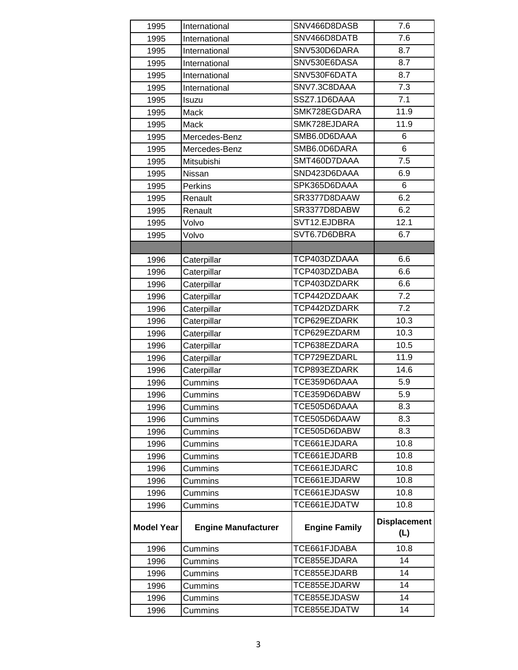| 1995              | International              | SNV466D8DASB         | 7.6                        |
|-------------------|----------------------------|----------------------|----------------------------|
| 1995              | International              | SNV466D8DATB         | 7.6                        |
| 1995              | International              | SNV530D6DARA         | 8.7                        |
| 1995              | International              | SNV530E6DASA         | 8.7                        |
| 1995              | International              | SNV530F6DATA         | 8.7                        |
| 1995              | International              | SNV7.3C8DAAA         | 7.3                        |
| 1995              | Isuzu                      | SSZ7.1D6DAAA         | 7.1                        |
| 1995              | Mack                       | SMK728EGDARA         | 11.9                       |
| 1995              | Mack                       | SMK728EJDARA         | 11.9                       |
| 1995              | Mercedes-Benz              | SMB6.0D6DAAA         | 6                          |
| 1995              | Mercedes-Benz              | SMB6.0D6DARA         | 6                          |
| 1995              | Mitsubishi                 | SMT460D7DAAA         | 7.5                        |
| 1995              | Nissan                     | SND423D6DAAA         | 6.9                        |
| 1995              | Perkins                    | SPK365D6DAAA         | 6                          |
| 1995              | Renault                    | SR3377D8DAAW         | 6.2                        |
| 1995              | Renault                    | SR3377D8DABW         | 6.2                        |
| 1995              | Volvo                      | SVT12.EJDBRA         | 12.1                       |
| 1995              | Volvo                      | SVT6.7D6DBRA         | 6.7                        |
|                   |                            |                      |                            |
| 1996              | Caterpillar                | TCP403DZDAAA         | 6.6                        |
| 1996              | Caterpillar                | TCP403DZDABA         | 6.6                        |
| 1996              | Caterpillar                | TCP403DZDARK         | 6.6                        |
| 1996              | Caterpillar                | TCP442DZDAAK         | 7.2                        |
| 1996              | Caterpillar                | TCP442DZDARK         | 7.2                        |
| 1996              | Caterpillar                | TCP629EZDARK         | 10.3                       |
| 1996              | Caterpillar                | TCP629EZDARM         | 10.3                       |
| 1996              | Caterpillar                | TCP638EZDARA         | 10.5                       |
| 1996              | Caterpillar                | TCP729EZDARL         | 11.9                       |
| 1996              | Caterpillar                | TCP893EZDARK         | 14.6                       |
| 1996              | Cummins                    | TCE359D6DAAA         | 5.9                        |
| 1996              | Cummins                    | TCE359D6DABW         | 5.9                        |
| 1996              | Cummins                    | TCE505D6DAAA         | 8.3                        |
| 1996              | Cummins                    | TCE505D6DAAW         | 8.3                        |
| 1996              | Cummins                    | TCE505D6DABW         | 8.3                        |
| 1996              | Cummins                    | TCE661EJDARA         | 10.8                       |
| 1996              | Cummins                    | TCE661EJDARB         | 10.8                       |
| 1996              | Cummins                    | TCE661EJDARC         | 10.8                       |
| 1996              | Cummins                    | TCE661EJDARW         | 10.8                       |
| 1996              | Cummins                    | TCE661EJDASW         | 10.8                       |
| 1996              | Cummins                    | TCE661EJDATW         | 10.8                       |
| <b>Model Year</b> | <b>Engine Manufacturer</b> | <b>Engine Family</b> | <b>Displacement</b><br>(L) |
| 1996              | Cummins                    | TCE661FJDABA         | 10.8                       |
| 1996              | Cummins                    | TCE855EJDARA         | 14                         |
| 1996              | Cummins                    | TCE855EJDARB         | 14                         |
| 1996              | Cummins                    | TCE855EJDARW         | 14                         |
| 1996              | Cummins                    | TCE855EJDASW         | 14                         |
| 1996              | Cummins                    | TCE855EJDATW         | 14                         |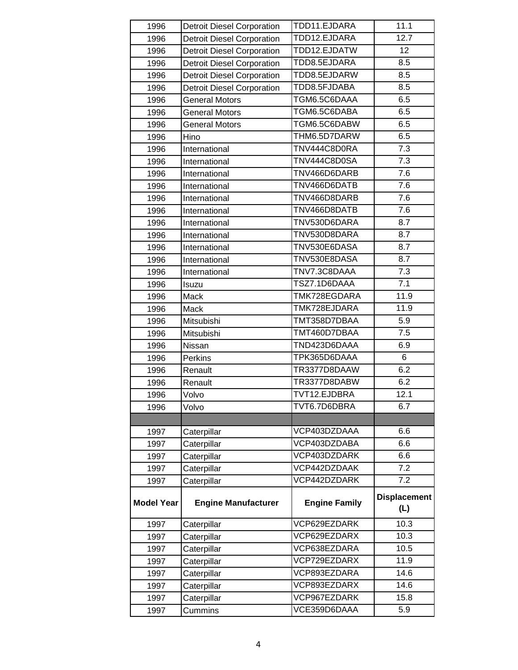| 1996              | <b>Detroit Diesel Corporation</b> | TDD11.EJDARA         | 11.1                |
|-------------------|-----------------------------------|----------------------|---------------------|
| 1996              | <b>Detroit Diesel Corporation</b> | TDD12.EJDARA         | 12.7                |
| 1996              | <b>Detroit Diesel Corporation</b> | TDD12.EJDATW         | 12                  |
| 1996              | <b>Detroit Diesel Corporation</b> | TDD8.5EJDARA         | 8.5                 |
| 1996              | <b>Detroit Diesel Corporation</b> | TDD8.5EJDARW         | 8.5                 |
| 1996              | <b>Detroit Diesel Corporation</b> | TDD8.5FJDABA         | 8.5                 |
| 1996              | <b>General Motors</b>             | TGM6.5C6DAAA         | 6.5                 |
| 1996              | <b>General Motors</b>             | TGM6.5C6DABA         | 6.5                 |
| 1996              | <b>General Motors</b>             | TGM6.5C6DABW         | 6.5                 |
| 1996              | Hino                              | THM6.5D7DARW         | 6.5                 |
| 1996              | International                     | TNV444C8D0RA         | 7.3                 |
| 1996              | International                     | TNV444C8D0SA         | 7.3                 |
| 1996              | International                     | TNV466D6DARB         | $\overline{7.6}$    |
| 1996              | International                     | TNV466D6DATB         | 7.6                 |
| 1996              | International                     | TNV466D8DARB         | 7.6                 |
| 1996              | International                     | TNV466D8DATB         | 7.6                 |
| 1996              | International                     | TNV530D6DARA         | 8.7                 |
| 1996              | International                     | TNV530D8DARA         | 8.7                 |
| 1996              | International                     | TNV530E6DASA         | 8.7                 |
| 1996              | International                     | TNV530E8DASA         | 8.7                 |
| 1996              | International                     | TNV7.3C8DAAA         | 7.3                 |
| 1996              | Isuzu                             | TSZ7.1D6DAAA         | 7.1                 |
| 1996              | Mack                              | TMK728EGDARA         | 11.9                |
| 1996              | Mack                              | TMK728EJDARA         | 11.9                |
| 1996              | Mitsubishi                        | TMT358D7DBAA         | 5.9                 |
| 1996              | Mitsubishi                        | TMT460D7DBAA         | 7.5                 |
| 1996              | Nissan                            | TND423D6DAAA         | 6.9                 |
| 1996              | Perkins                           | TPK365D6DAAA         | 6                   |
| 1996              | Renault                           | TR3377D8DAAW         | 6.2                 |
| 1996              | Renault                           | TR3377D8DABW         | 6.2                 |
| 1996              | Volvo                             | TVT12.EJDBRA         | 12.1                |
| 1996              | Volvo                             | TVT6.7D6DBRA         | 6.7                 |
|                   |                                   |                      |                     |
| 1997              | Caterpillar                       | VCP403DZDAAA         | 6.6                 |
| 1997              | Caterpillar                       | VCP403DZDABA         | 6.6                 |
| 1997              | Caterpillar                       | VCP403DZDARK         | 6.6                 |
| 1997              | Caterpillar                       | VCP442DZDAAK         | 7.2                 |
| 1997              | Caterpillar                       | VCP442DZDARK         | 7.2                 |
| <b>Model Year</b> | <b>Engine Manufacturer</b>        | <b>Engine Family</b> | <b>Displacement</b> |
|                   |                                   |                      | (L)                 |
| 1997              | Caterpillar                       | VCP629EZDARK         | 10.3                |
| 1997              | Caterpillar                       | VCP629EZDARX         | 10.3                |
| 1997              | Caterpillar                       | VCP638EZDARA         | 10.5                |
| 1997              | Caterpillar                       | VCP729EZDARX         | 11.9                |
| 1997              | Caterpillar                       | VCP893EZDARA         | 14.6                |
| 1997              | Caterpillar                       | VCP893EZDARX         | 14.6                |
| 1997              | Caterpillar                       | VCP967EZDARK         | 15.8                |
| 1997              | Cummins                           | VCE359D6DAAA         | 5.9                 |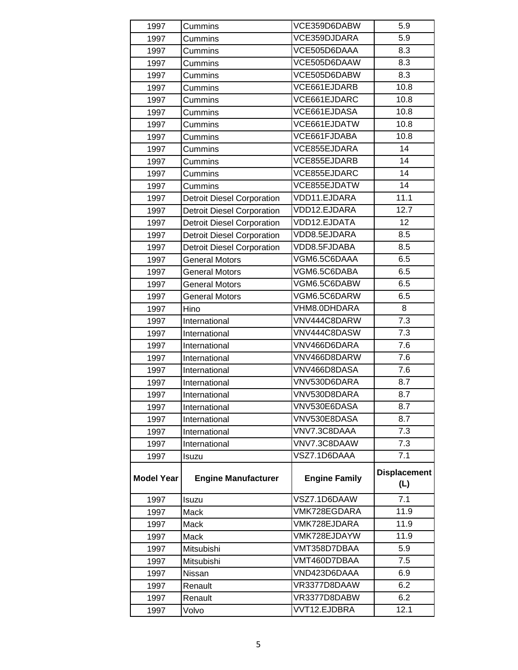| 1997              | Cummins                           | VCE359D6DABW         | 5.9                 |
|-------------------|-----------------------------------|----------------------|---------------------|
| 1997              | Cummins                           | VCE359DJDARA         | 5.9                 |
| 1997              | Cummins                           | VCE505D6DAAA         | 8.3                 |
| 1997              | Cummins                           | VCE505D6DAAW         | 8.3                 |
| 1997              | Cummins                           | VCE505D6DABW         | 8.3                 |
| 1997              | Cummins                           | VCE661EJDARB         | 10.8                |
| 1997              | Cummins                           | VCE661EJDARC         | 10.8                |
| 1997              | Cummins                           | VCE661EJDASA         | 10.8                |
| 1997              | Cummins                           | VCE661EJDATW         | 10.8                |
| 1997              | Cummins                           | VCE661FJDABA         | 10.8                |
| 1997              | Cummins                           | VCE855EJDARA         | 14                  |
| 1997              | Cummins                           | VCE855EJDARB         | 14                  |
| 1997              | Cummins                           | VCE855EJDARC         | 14                  |
| 1997              | <b>Cummins</b>                    | VCE855EJDATW         | 14                  |
| 1997              | <b>Detroit Diesel Corporation</b> | VDD11.EJDARA         | 11.1                |
| 1997              | <b>Detroit Diesel Corporation</b> | VDD12.EJDARA         | 12.7                |
| 1997              | <b>Detroit Diesel Corporation</b> | VDD12.EJDATA         | 12                  |
| 1997              | <b>Detroit Diesel Corporation</b> | VDD8.5EJDARA         | 8.5                 |
| 1997              | <b>Detroit Diesel Corporation</b> | VDD8.5FJDABA         | 8.5                 |
| 1997              | <b>General Motors</b>             | VGM6.5C6DAAA         | 6.5                 |
| 1997              | <b>General Motors</b>             | VGM6.5C6DABA         | 6.5                 |
| 1997              | <b>General Motors</b>             | VGM6.5C6DABW         | 6.5                 |
| 1997              | <b>General Motors</b>             | VGM6.5C6DARW         | 6.5                 |
| 1997              | Hino                              | VHM8.0DHDARA         | 8                   |
| 1997              | International                     | VNV444C8DARW         | 7.3                 |
| 1997              | International                     | VNV444C8DASW         | 7.3                 |
| 1997              | International                     | VNV466D6DARA         | 7.6                 |
| 1997              | International                     | VNV466D8DARW         | 7.6                 |
| 1997              | International                     | VNV466D8DASA         | 7.6                 |
| 1997              | International                     | VNV530D6DARA         | 8.7                 |
| 1997              | International                     | VNV530D8DARA         | 8.7                 |
| 1997              | International                     | VNV530E6DASA         | 8.7                 |
| 1997              | International                     | VNV530E8DASA         | 8.7                 |
| 1997              | International                     | VNV7.3C8DAAA         | 7.3                 |
| 1997              | International                     | VNV7.3C8DAAW         | 7.3                 |
| 1997              | Isuzu                             | VSZ7.1D6DAAA         | 7.1                 |
|                   |                                   |                      | <b>Displacement</b> |
| <b>Model Year</b> | <b>Engine Manufacturer</b>        | <b>Engine Family</b> | (L)                 |
| 1997              |                                   | VSZ7.1D6DAAW         | 7.1                 |
| 1997              | Isuzu<br>Mack                     | VMK728EGDARA         | 11.9                |
| 1997              | Mack                              | VMK728EJDARA         | 11.9                |
| 1997              | Mack                              | VMK728EJDAYW         | 11.9                |
| 1997              | Mitsubishi                        | VMT358D7DBAA         | 5.9                 |
| 1997              | Mitsubishi                        | VMT460D7DBAA         | 7.5                 |
| 1997              | Nissan                            | VND423D6DAAA         | 6.9                 |
| 1997              | Renault                           | VR3377D8DAAW         | 6.2                 |
| 1997              | Renault                           | VR3377D8DABW         | 6.2                 |
| 1997              | Volvo                             | VVT12.EJDBRA         | 12.1                |
|                   |                                   |                      |                     |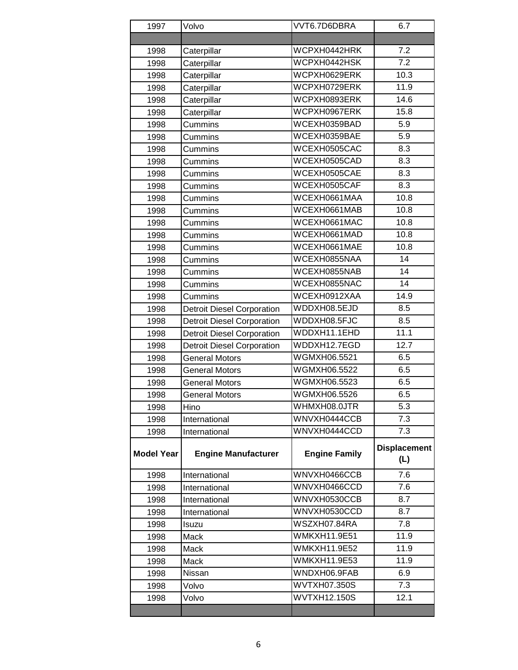| 1997              | Volvo                             | VVT6.7D6DBRA                        | 6.7                        |
|-------------------|-----------------------------------|-------------------------------------|----------------------------|
|                   |                                   |                                     |                            |
| 1998              | Caterpillar                       | WCPXH0442HRK                        | 7.2                        |
| 1998              | Caterpillar                       | WCPXH0442HSK                        | 7.2                        |
| 1998              | Caterpillar                       | WCPXH0629ERK                        | 10.3                       |
| 1998              | Caterpillar                       | WCPXH0729ERK                        | 11.9                       |
| 1998              | Caterpillar                       | WCPXH0893ERK                        | 14.6                       |
| 1998              | Caterpillar                       | WCPXH0967ERK                        | 15.8                       |
| 1998              | Cummins                           | WCEXH0359BAD                        | 5.9                        |
| 1998              | Cummins                           | WCEXH0359BAE                        | 5.9                        |
| 1998              | Cummins                           | WCEXH0505CAC                        | 8.3                        |
| 1998              | Cummins                           | WCEXH0505CAD                        | 8.3                        |
| 1998              | Cummins                           | WCEXH0505CAE                        | 8.3                        |
| 1998              | Cummins                           | WCEXH0505CAF                        | 8.3                        |
| 1998              | Cummins                           | WCEXH0661MAA                        | 10.8                       |
| 1998              | Cummins                           | WCEXH0661MAB                        | 10.8                       |
| 1998              | Cummins                           | WCEXH0661MAC                        | 10.8                       |
| 1998              | Cummins                           | WCEXH0661MAD                        | 10.8                       |
| 1998              | Cummins                           | WCEXH0661MAE                        | 10.8                       |
| 1998              | Cummins                           | WCEXH0855NAA                        | 14                         |
| 1998              | Cummins                           | WCEXH0855NAB                        | 14                         |
| 1998              | <b>Cummins</b>                    | WCEXH0855NAC                        | 14                         |
| 1998              | Cummins                           | WCEXH0912XAA                        | 14.9                       |
| 1998              | <b>Detroit Diesel Corporation</b> | WDDXH08.5EJD                        | 8.5                        |
| 1998              | <b>Detroit Diesel Corporation</b> | WDDXH08.5FJC                        | 8.5                        |
| 1998              | <b>Detroit Diesel Corporation</b> | WDDXH11.1EHD                        | 11.1                       |
| 1998              | <b>Detroit Diesel Corporation</b> | WDDXH12.7EGD                        | 12.7                       |
| 1998              | <b>General Motors</b>             | WGMXH06.5521                        | 6.5                        |
| 1998              | <b>General Motors</b>             | WGMXH06.5522                        | 6.5                        |
| 1998              | <b>General Motors</b>             | WGMXH06.5523                        | 6.5                        |
| 1998              | <b>General Motors</b>             | WGMXH06.5526                        | 6.5                        |
| 1998              | Hino                              | WHMXH08.0JTR                        | 5.3                        |
| 1998              | International                     | WNVXH0444CCB                        | 7.3                        |
| 1998              | International                     | WNVXH0444CCD                        | 7.3                        |
| <b>Model Year</b> | <b>Engine Manufacturer</b>        | <b>Engine Family</b>                | <b>Displacement</b><br>(L) |
| 1998              | International                     | WNVXH0466CCB                        | 7.6                        |
| 1998              | International                     | WNVXH0466CCD                        | 7.6                        |
| 1998              | International                     | WNVXH0530CCB                        | 8.7                        |
| 1998              | International                     | WNVXH0530CCD                        | 8.7                        |
| 1998              | Isuzu                             | $\overline{\mathsf{W}}$ SZXH07.84RA | 7.8                        |
| 1998              | Mack                              | WMKXH11.9E51                        | 11.9                       |
| 1998              | Mack                              | <b>WMKXH11.9E52</b>                 | 11.9                       |
| 1998              | Mack                              | WMKXH11.9E53                        | 11.9                       |
| 1998              | Nissan                            | WNDXH06.9FAB                        | 6.9                        |
| 1998              | Volvo                             | <b>WVTXH07.350S</b>                 | 7.3                        |
| 1998              | Volvo                             | <b>WVTXH12.150S</b>                 | 12.1                       |
|                   |                                   |                                     |                            |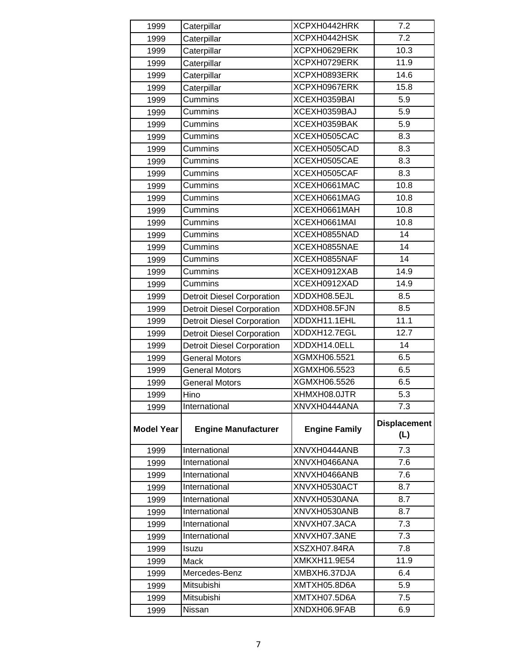| 1999              | Caterpillar                       | XCPXH0442HRK                 | 7.2                        |
|-------------------|-----------------------------------|------------------------------|----------------------------|
| 1999              | Caterpillar                       | XCPXH0442HSK                 | 7.2                        |
| 1999              | Caterpillar                       | XCPXH0629ERK                 | 10.3                       |
| 1999              | Caterpillar                       | XCPXH0729ERK                 | 11.9                       |
| 1999              | Caterpillar                       | XCPXH0893ERK                 | 14.6                       |
| 1999              | Caterpillar                       | XCPXH0967ERK                 | 15.8                       |
| 1999              | Cummins                           | XCEXH0359BAI                 | 5.9                        |
| 1999              | Cummins                           | XCEXH0359BAJ                 | 5.9                        |
| 1999              | Cummins                           | XCEXH0359BAK                 | 5.9                        |
| 1999              | Cummins                           | XCEXH0505CAC                 | 8.3                        |
| 1999              | Cummins                           | XCEXH0505CAD                 | 8.3                        |
| 1999              | Cummins                           | XCEXH0505CAE                 | 8.3                        |
| 1999              | Cummins                           | XCEXH0505CAF                 | 8.3                        |
| 1999              | Cummins                           | XCEXH0661MAC                 | 10.8                       |
| 1999              | Cummins                           | XCEXH0661MAG                 | 10.8                       |
| 1999              | Cummins                           | XCEXH0661MAH                 | 10.8                       |
| 1999              | Cummins                           | XCEXH0661MAI                 | 10.8                       |
| 1999              | Cummins                           | XCEXH0855NAD                 | 14                         |
| 1999              | Cummins                           | XCEXH0855NAE                 | 14                         |
| 1999              | Cummins                           | XCEXH0855NAF                 | 14                         |
| 1999              | Cummins                           | XCEXH0912XAB                 | 14.9                       |
| 1999              | Cummins                           | XCEXH0912XAD                 | 14.9                       |
| 1999              | <b>Detroit Diesel Corporation</b> | XDDXH08.5EJL                 | 8.5                        |
| 1999              | <b>Detroit Diesel Corporation</b> | XDDXH08.5FJN                 | 8.5                        |
| 1999              | <b>Detroit Diesel Corporation</b> | XDDXH11.1EHL                 | 11.1                       |
| 1999              | <b>Detroit Diesel Corporation</b> | XDDXH12.7EGL                 | 12.7                       |
| 1999              | <b>Detroit Diesel Corporation</b> | XDDXH14.0ELL                 | 14                         |
| 1999              | <b>General Motors</b>             | XGMXH06.5521                 | 6.5                        |
| 1999              | General Motors                    | XGMXH06.5523                 | 6.5                        |
| 1999              | <b>General Motors</b>             | XGMXH06.5526                 | 6.5                        |
| 1999              | Hino                              | XHMXH08.0JTR                 | 5.3                        |
| 1999              | International                     | XNVXH0444ANA                 | 7.3                        |
| <b>Model Year</b> | <b>Engine Manufacturer</b>        | <b>Engine Family</b>         | <b>Displacement</b><br>(L) |
| 1999              | International                     | XNVXH0444ANB                 | 7.3                        |
| 1999              | International                     | XNVXH0466ANA                 | 7.6                        |
| 1999              | International                     | XNVXH0466ANB                 | 7.6                        |
| 1999              | International                     | XNVXH0530ACT                 | 8.7                        |
| 1999              | International                     | XNVXH0530ANA                 | 8.7                        |
| 1999              | International                     | XNVXH0530ANB                 | 8.7                        |
| 1999              | International                     | XNVXH07.3ACA                 | 7.3                        |
| 1999              | International                     | XNVXH07.3ANE                 | 7.3                        |
| 1999              | Isuzu                             | XSZXH07.84RA                 | 7.8                        |
|                   |                                   |                              |                            |
| 1999              | Mack                              | XMKXH11.9E54                 | 11.9                       |
| 1999              | Mercedes-Benz                     | XMBXH6.37DJA                 | 6.4                        |
| 1999              | Mitsubishi                        | XMTXH05.8D6A                 | 5.9                        |
| 1999              | Mitsubishi<br>Nissan              | XMTXH07.5D6A<br>XNDXH06.9FAB | 7.5<br>6.9                 |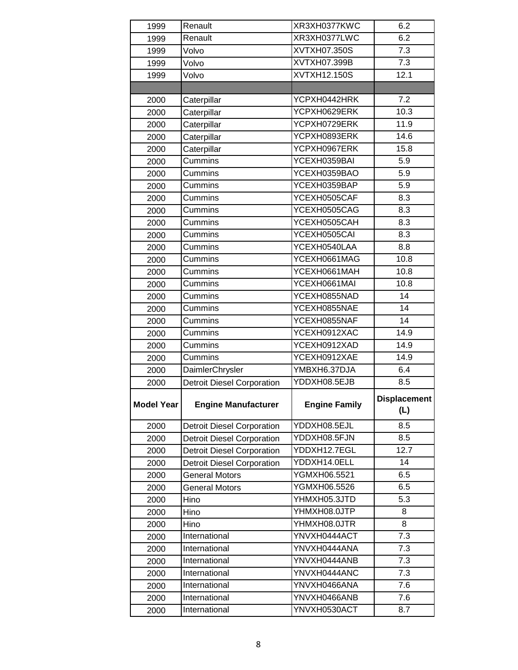| 1999              | Renault                           | XR3XH0377KWC         | 6.2                        |
|-------------------|-----------------------------------|----------------------|----------------------------|
| 1999              | Renault                           | XR3XH0377LWC         | 6.2                        |
| 1999              | Volvo                             | XVTXH07.350S         | 7.3                        |
| 1999              | Volvo                             | XVTXH07.399B         | 7.3                        |
| 1999              | Volvo                             | XVTXH12.150S         | 12.1                       |
|                   |                                   |                      |                            |
| 2000              | Caterpillar                       | YCPXH0442HRK         | 7.2                        |
| 2000              | Caterpillar                       | YCPXH0629ERK         | 10.3                       |
| 2000              | Caterpillar                       | YCPXH0729ERK         | 11.9                       |
| 2000              | Caterpillar                       | YCPXH0893ERK         | 14.6                       |
| 2000              | Caterpillar                       | YCPXH0967ERK         | 15.8                       |
| 2000              | Cummins                           | YCEXH0359BAI         | 5.9                        |
| 2000              | Cummins                           | YCEXH0359BAO         | 5.9                        |
| 2000              | Cummins                           | YCEXH0359BAP         | 5.9                        |
| 2000              | Cummins                           | YCEXH0505CAF         | 8.3                        |
| 2000              | Cummins                           | YCEXH0505CAG         | 8.3                        |
| 2000              | Cummins                           | YCEXH0505CAH         | $\overline{8.3}$           |
| 2000              | Cummins                           | YCEXH0505CAI         | 8.3                        |
| 2000              | Cummins                           | YCEXH0540LAA         | 8.8                        |
| 2000              | Cummins                           | YCEXH0661MAG         | 10.8                       |
| 2000              | Cummins                           | YCEXH0661MAH         | 10.8                       |
| 2000              | Cummins                           | YCEXH0661MAI         | 10.8                       |
| 2000              | Cummins                           | YCEXH0855NAD         | 14                         |
| 2000              | Cummins                           | YCEXH0855NAE         | 14                         |
| 2000              | Cummins                           | YCEXH0855NAF         | 14                         |
| 2000              | Cummins                           | YCEXH0912XAC         | 14.9                       |
| 2000              | Cummins                           | YCEXH0912XAD         | 14.9                       |
| 2000              | Cummins                           | YCEXH0912XAE         | 14.9                       |
| 2000              | DaimlerChrysler                   | YMBXH6.37DJA         | 6.4                        |
| 2000              | <b>Detroit Diesel Corporation</b> | YDDXH08.5EJB         | 8.5                        |
| <b>Model Year</b> | <b>Engine Manufacturer</b>        | <b>Engine Family</b> | <b>Displacement</b><br>(L) |
| 2000              | <b>Detroit Diesel Corporation</b> | YDDXH08.5EJL         | 8.5                        |
| 2000              | <b>Detroit Diesel Corporation</b> | YDDXH08.5FJN         | 8.5                        |
| 2000              | <b>Detroit Diesel Corporation</b> | YDDXH12.7EGL         | 12.7                       |
| 2000              | <b>Detroit Diesel Corporation</b> | YDDXH14.0ELL         | 14                         |
| 2000              | <b>General Motors</b>             | YGMXH06.5521         | 6.5                        |
| 2000              | <b>General Motors</b>             | YGMXH06.5526         | 6.5                        |
| 2000              | Hino                              | YHMXH05.3JTD         | 5.3                        |
| 2000              | Hino                              | YHMXH08.0JTP         | 8                          |
| 2000              | Hino                              | YHMXH08.0JTR         | 8                          |
| 2000              | International                     | YNVXH0444ACT         | $7.\overline{3}$           |
| 2000              | International                     | YNVXH0444ANA         | 7.3                        |
| 2000              | International                     | YNVXH0444ANB         | 7.3                        |
| 2000              | International                     | YNVXH0444ANC         | 7.3                        |
| 2000              | International                     | YNVXH0466ANA         | 7.6                        |
| 2000              | International                     | YNVXH0466ANB         | 7.6                        |
| 2000              | International                     | YNVXH0530ACT         | 8.7                        |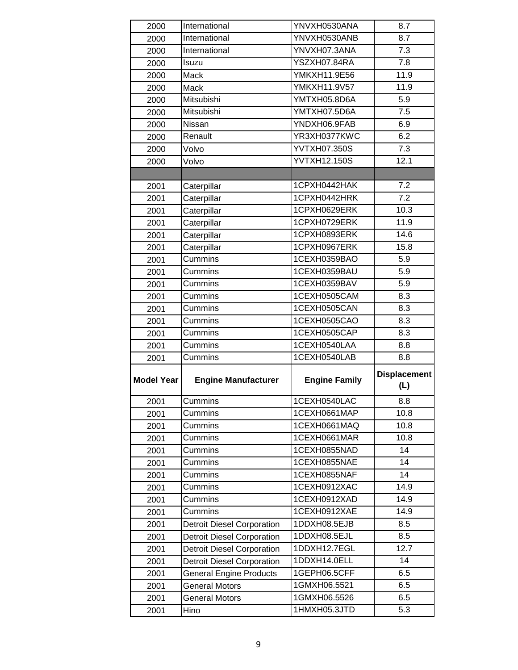| 2000              | International                     | YNVXH0530ANA                 | 8.7                        |
|-------------------|-----------------------------------|------------------------------|----------------------------|
| 2000              | International                     | YNVXH0530ANB                 | 8.7                        |
| 2000              | International                     | YNVXH07.3ANA                 | $\overline{7.3}$           |
| 2000              | Isuzu                             | YSZXH07.84RA                 | 7.8                        |
| 2000              | Mack                              | YMKXH11.9E56                 | 11.9                       |
| 2000              | Mack                              | YMKXH11.9V57                 | 11.9                       |
| 2000              | Mitsubishi                        | YMTXH05.8D6A                 | 5.9                        |
| 2000              | Mitsubishi                        | YMTXH07.5D6A                 | 7.5                        |
| 2000              | Nissan                            | YNDXH06.9FAB                 | 6.9                        |
| 2000              | Renault                           | YR3XH0377KWC                 | $\overline{6.2}$           |
| 2000              | Volvo                             | YVTXH07.350S                 | 7.3                        |
| 2000              | Volvo                             | <b>YVTXH12.150S</b>          | 12.1                       |
|                   |                                   |                              |                            |
| 2001              | Caterpillar                       | 1CPXH0442HAK                 | 7.2                        |
| 2001              | Caterpillar                       | 1CPXH0442HRK                 | $\overline{7.2}$           |
| 2001              | Caterpillar                       | 1CPXH0629ERK                 | 10.3                       |
| 2001              | Caterpillar                       | 1CPXH0729ERK                 | 11.9                       |
| 2001              | Caterpillar                       | 1CPXH0893ERK                 | 14.6                       |
| 2001              | Caterpillar                       | 1CPXH0967ERK                 | 15.8                       |
| 2001              | Cummins                           | 1CEXH0359BAO                 | 5.9                        |
| 2001              | Cummins                           | 1CEXH0359BAU                 | 5.9                        |
| 2001              | Cummins                           | 1CEXH0359BAV                 | 5.9                        |
| 2001              | Cummins                           | 1CEXH0505CAM                 | 8.3                        |
| 2001              | Cummins                           | 1CEXH0505CAN                 | 8.3                        |
| 2001              | Cummins                           | 1CEXH0505CAO                 | 8.3                        |
|                   |                                   |                              |                            |
| 2001              | Cummins                           | 1CEXH0505CAP                 | 8.3                        |
| 2001              | Cummins                           | 1CEXH0540LAA                 | 8.8                        |
| 2001              | Cummins                           | 1CEXH0540LAB                 | 8.8                        |
| <b>Model Year</b> | <b>Engine Manufacturer</b>        | <b>Engine Family</b>         | <b>Displacement</b><br>(L) |
| 2001              | Cummins                           | 1CEXH0540LAC                 | 8.8                        |
| 2001              | Cummins                           | 1CEXH0661MAP                 | 10.8                       |
| 2001              | Cummins                           | 1CEXH0661MAQ                 | 10.8                       |
| 2001              | Cummins                           | 1CEXH0661MAR                 | 10.8                       |
| 2001              | Cummins                           | 1CEXH0855NAD                 | 14                         |
| 2001              | Cummins                           | 1CEXH0855NAE                 | 14                         |
| 2001              | Cummins                           | 1CEXH0855NAF                 | 14                         |
| 2001              | Cummins                           | 1CEXH0912XAC                 | 14.9                       |
| 2001              | Cummins                           | 1CEXH0912XAD                 | 14.9                       |
| 2001              | Cummins                           | 1CEXH0912XAE                 | 14.9                       |
| 2001              | <b>Detroit Diesel Corporation</b> | 1DDXH08.5EJB                 | 8.5                        |
| 2001              | <b>Detroit Diesel Corporation</b> | 1DDXH08.5EJL                 | 8.5                        |
| 2001              | <b>Detroit Diesel Corporation</b> | 1DDXH12.7EGL                 | 12.7                       |
| 2001              | <b>Detroit Diesel Corporation</b> | 1DDXH14.0ELL                 | 14                         |
| 2001              | <b>General Engine Products</b>    | 1GEPH06.5CFF                 | 6.5                        |
| 2001              | <b>General Motors</b>             | 1GMXH06.5521                 | 6.5                        |
| 2001              | <b>General Motors</b>             | 1GMXH06.5526<br>1HMXH05.3JTD | 6.5<br>5.3                 |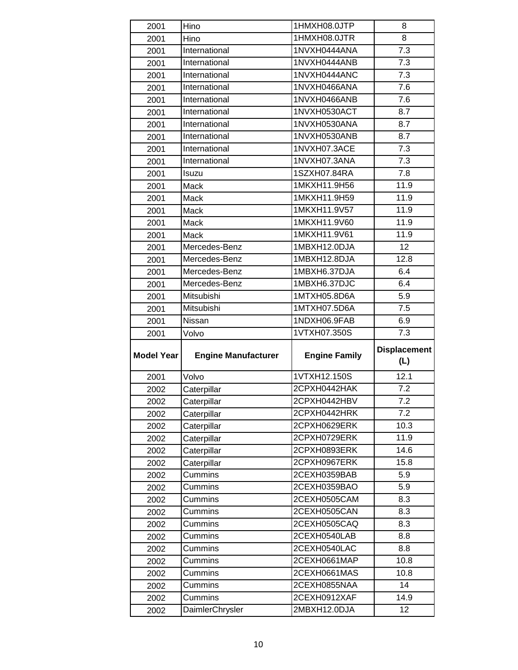| 2001              | Hino                       | 1HMXH08.0JTP                 | 8                          |
|-------------------|----------------------------|------------------------------|----------------------------|
| 2001              | Hino                       | 1HMXH08.0JTR                 | 8                          |
| 2001              | International              | 1NVXH0444ANA                 | 7.3                        |
| 2001              | International              | 1NVXH0444ANB                 | 7.3                        |
| 2001              | International              | 1NVXH0444ANC                 | 7.3                        |
| 2001              | International              | 1NVXH0466ANA                 | 7.6                        |
| 2001              | International              | 1NVXH0466ANB                 | 7.6                        |
| 2001              | International              | 1NVXH0530ACT                 | 8.7                        |
| 2001              | International              | 1NVXH0530ANA                 | 8.7                        |
| 2001              | International              | 1NVXH0530ANB                 | 8.7                        |
| 2001              | International              | 1NVXH07.3ACE                 | 7.3                        |
| 2001              | International              | 1NVXH07.3ANA                 | 7.3                        |
| 2001              | Isuzu                      | 1SZXH07.84RA                 | 7.8                        |
| 2001              | Mack                       | 1MKXH11.9H56                 | 11.9                       |
| 2001              | Mack                       | 1MKXH11.9H59                 | 11.9                       |
| 2001              | Mack                       | 1MKXH11.9V57                 | 11.9                       |
| 2001              | Mack                       | 1MKXH11.9V60                 | 11.9                       |
| 2001              | Mack                       | 1MKXH11.9V61                 | 11.9                       |
| 2001              | Mercedes-Benz              | 1MBXH12.0DJA                 | 12                         |
| 2001              | Mercedes-Benz              | 1MBXH12.8DJA                 | 12.8                       |
| 2001              | Mercedes-Benz              | 1MBXH6.37DJA                 | 6.4                        |
| 2001              | Mercedes-Benz              | 1MBXH6.37DJC                 | 6.4                        |
| 2001              | Mitsubishi                 | 1MTXH05.8D6A                 | 5.9                        |
| 2001              | Mitsubishi                 | 1MTXH07.5D6A                 | 7.5                        |
| 2001              | Nissan                     | 1NDXH06.9FAB                 | 6.9                        |
|                   |                            |                              |                            |
| 2001              | Volvo                      | 1VTXH07.350S                 | 7.3                        |
| <b>Model Year</b> | <b>Engine Manufacturer</b> | <b>Engine Family</b>         | <b>Displacement</b><br>(L) |
| 2001              | Volvo                      | 1VTXH12.150S                 | 12.1                       |
| 2002              | Caterpillar                | 2CPXH0442HAK                 | 7.2                        |
| 2002              |                            | 2CPXH0442HBV                 | 7.2                        |
| 2002              | Caterpillar<br>Caterpillar | 2CPXH0442HRK                 | 7.2                        |
| 2002              | Caterpillar                | 2CPXH0629ERK                 | 10.3                       |
| 2002              | Caterpillar                | 2CPXH0729ERK                 | 11.9                       |
| 2002              | Caterpillar                | 2CPXH0893ERK                 | 14.6                       |
| 2002              | Caterpillar                | 2CPXH0967ERK                 | 15.8                       |
| 2002              | Cummins                    | 2CEXH0359BAB                 | 5.9                        |
| 2002              | Cummins                    | 2CEXH0359BAO                 | 5.9                        |
| 2002              | Cummins                    | 2CEXH0505CAM                 | 8.3                        |
| 2002              | Cummins                    | 2CEXH0505CAN                 | 8.3                        |
| 2002              | Cummins                    | 2CEXH0505CAQ                 | 8.3                        |
| 2002              | Cummins                    | 2CEXH0540LAB                 | 8.8                        |
| 2002              | Cummins                    | 2CEXH0540LAC                 | 8.8                        |
| 2002              | Cummins                    | 2CEXH0661MAP                 | 10.8                       |
| 2002              | Cummins                    | 2CEXH0661MAS                 | 10.8                       |
| 2002              | Cummins                    | 2CEXH0855NAA                 | 14                         |
| 2002              | Cummins<br>DaimlerChrysler | 2CEXH0912XAF<br>2MBXH12.0DJA | $\overline{1}$ 4.9         |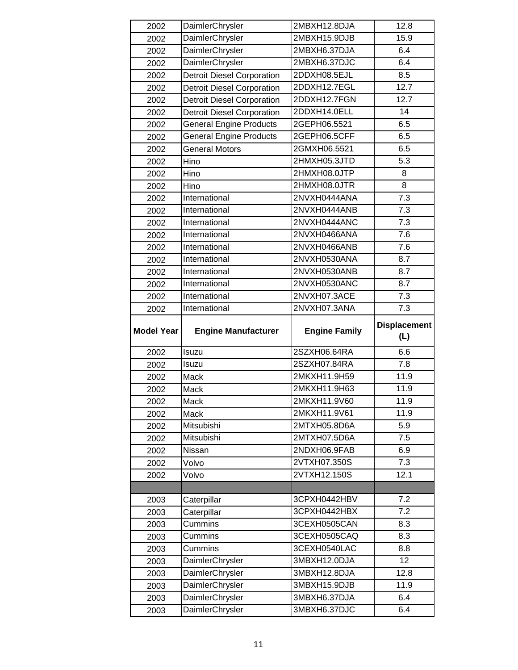| 2002              | DaimlerChrysler                    | 2MBXH12.8DJA                 | 12.8                |
|-------------------|------------------------------------|------------------------------|---------------------|
| 2002              | DaimlerChrysler                    | 2MBXH15.9DJB                 | 15.9                |
| 2002              | DaimlerChrysler                    | 2MBXH6.37DJA                 | 6.4                 |
| 2002              | DaimlerChrysler                    | 2MBXH6.37DJC                 | 6.4                 |
| 2002              | <b>Detroit Diesel Corporation</b>  | 2DDXH08.5EJL                 | 8.5                 |
| 2002              | <b>Detroit Diesel Corporation</b>  | 2DDXH12.7EGL                 | 12.7                |
| 2002              | <b>Detroit Diesel Corporation</b>  | 2DDXH12.7FGN                 | 12.7                |
| 2002              | <b>Detroit Diesel Corporation</b>  | 2DDXH14.0ELL                 | 14                  |
| 2002              | <b>General Engine Products</b>     | 2GEPH06.5521                 | 6.5                 |
| 2002              | <b>General Engine Products</b>     | 2GEPH06.5CFF                 | 6.5                 |
| 2002              | <b>General Motors</b>              | 2GMXH06.5521                 | 6.5                 |
| 2002              | Hino                               | 2HMXH05.3JTD                 | 5.3                 |
| 2002              | Hino                               | 2HMXH08.0JTP                 | 8                   |
| 2002              | Hino                               | 2HMXH08.0JTR                 | 8                   |
| 2002              | International                      | 2NVXH0444ANA                 | 7.3                 |
| 2002              | International                      | 2NVXH0444ANB                 | 7.3                 |
| 2002              | International                      | 2NVXH0444ANC                 | $\overline{7.3}$    |
| 2002              | International                      | 2NVXH0466ANA                 | 7.6                 |
| 2002              | International                      | 2NVXH0466ANB                 | 7.6                 |
| 2002              | International                      | 2NVXH0530ANA                 | 8.7                 |
| 2002              | International                      | 2NVXH0530ANB                 | 8.7                 |
| 2002              | International                      | 2NVXH0530ANC                 | 8.7                 |
| 2002              | International                      | 2NVXH07.3ACE                 | 7.3                 |
| 2002              | International                      | 2NVXH07.3ANA                 | 7.3                 |
|                   |                                    |                              |                     |
|                   |                                    |                              | <b>Displacement</b> |
| <b>Model Year</b> | <b>Engine Manufacturer</b>         | <b>Engine Family</b>         | (L)                 |
| 2002              | Isuzu                              | 2SZXH06.64RA                 | 6.6                 |
| 2002              | Isuzu                              | 2SZXH07.84RA                 | 7.8                 |
| 2002              | Mack                               | 2MKXH11.9H59                 | 11.9                |
| 2002              | Mack                               | 2MKXH11.9H63                 | 11.9                |
| 2002              | Mack                               | 2MKXH11.9V60                 | 11.9                |
| 2002              | Mack                               | 2MKXH11.9V61                 | 11.9                |
| 2002              | Mitsubishi                         | 2MTXH05.8D6A                 | 5.9                 |
| 2002              | Mitsubishi                         | 2MTXH07.5D6A                 | 7.5                 |
| 2002              | Nissan                             | 2NDXH06.9FAB                 | 6.9                 |
| 2002              | Volvo                              | 2VTXH07.350S                 | 7.3                 |
| 2002              | Volvo                              | 2VTXH12.150S                 | 12.1                |
|                   |                                    |                              |                     |
| 2003              | Caterpillar                        | 3CPXH0442HBV                 | 7.2                 |
| 2003              | Caterpillar                        | 3CPXH0442HBX                 | 7.2                 |
| 2003              | Cummins                            | 3CEXH0505CAN                 | 8.3                 |
| 2003              | Cummins                            | 3CEXH0505CAQ                 | 8.3                 |
| 2003              | Cummins                            | 3CEXH0540LAC                 | 8.8                 |
| 2003              | DaimlerChrysler                    | 3MBXH12.0DJA                 | 12                  |
| 2003              | DaimlerChrysler                    | 3MBXH12.8DJA                 | 12.8                |
| 2003              | DaimlerChrysler                    | 3MBXH15.9DJB                 | 11.9                |
| 2003              | DaimlerChrysler<br>DaimlerChrysler | 3MBXH6.37DJA<br>3MBXH6.37DJC | 6.4                 |